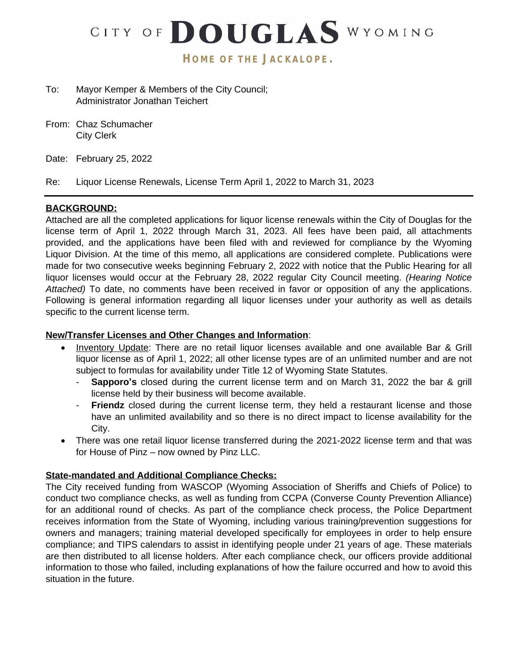

- To: Mayor Kemper & Members of the City Council; Administrator Jonathan Teichert
- From: Chaz Schumacher City Clerk
- Date: February 25, 2022

Re: Liquor License Renewals, License Term April 1, 2022 to March 31, 2023

# **BACKGROUND:**

Attached are all the completed applications for liquor license renewals within the City of Douglas for the license term of April 1, 2022 through March 31, 2023. All fees have been paid, all attachments provided, and the applications have been filed with and reviewed for compliance by the Wyoming Liquor Division. At the time of this memo, all applications are considered complete. Publications were made for two consecutive weeks beginning February 2, 2022 with notice that the Public Hearing for all liquor licenses would occur at the February 28, 2022 regular City Council meeting. *(Hearing Notice Attached)* To date, no comments have been received in favor or opposition of any the applications. Following is general information regarding all liquor licenses under your authority as well as details specific to the current license term.

## **New/Transfer Licenses and Other Changes and Information**:

- Inventory Update: There are no retail liquor licenses available and one available Bar & Grill liquor license as of April 1, 2022; all other license types are of an unlimited number and are not subject to formulas for availability under Title 12 of Wyoming State Statutes.
	- **Sapporo's** closed during the current license term and on March 31, 2022 the bar & grill license held by their business will become available.
	- **Friendz** closed during the current license term, they held a restaurant license and those have an unlimited availability and so there is no direct impact to license availability for the City.
- There was one retail liquor license transferred during the 2021-2022 license term and that was for House of Pinz – now owned by Pinz LLC.

## **State-mandated and Additional Compliance Checks:**

The City received funding from WASCOP (Wyoming Association of Sheriffs and Chiefs of Police) to conduct two compliance checks, as well as funding from CCPA (Converse County Prevention Alliance) for an additional round of checks. As part of the compliance check process, the Police Department receives information from the State of Wyoming, including various training/prevention suggestions for owners and managers; training material developed specifically for employees in order to help ensure compliance; and TIPS calendars to assist in identifying people under 21 years of age. These materials are then distributed to all license holders. After each compliance check, our officers provide additional information to those who failed, including explanations of how the failure occurred and how to avoid this situation in the future.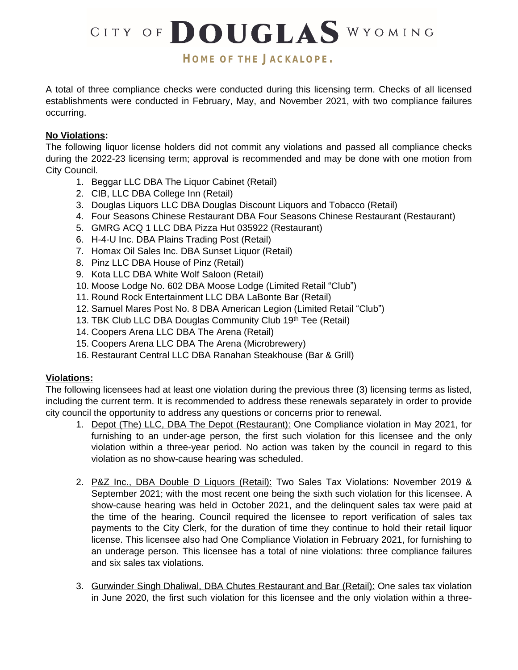CITY OF DOUGLAS WYOMING

# **HOME OF THE JACKALOPE.**

A total of three compliance checks were conducted during this licensing term. Checks of all licensed establishments were conducted in February, May, and November 2021, with two compliance failures occurring.

# **No Violations:**

The following liquor license holders did not commit any violations and passed all compliance checks during the 2022-23 licensing term; approval is recommended and may be done with one motion from City Council.

- 1. Beggar LLC DBA The Liquor Cabinet (Retail)
- 2. CIB, LLC DBA College Inn (Retail)
- 3. Douglas Liquors LLC DBA Douglas Discount Liquors and Tobacco (Retail)
- 4. Four Seasons Chinese Restaurant DBA Four Seasons Chinese Restaurant (Restaurant)
- 5. GMRG ACQ 1 LLC DBA Pizza Hut 035922 (Restaurant)
- 6. H-4-U Inc. DBA Plains Trading Post (Retail)
- 7. Homax Oil Sales Inc. DBA Sunset Liquor (Retail)
- 8. Pinz LLC DBA House of Pinz (Retail)
- 9. Kota LLC DBA White Wolf Saloon (Retail)
- 10. Moose Lodge No. 602 DBA Moose Lodge (Limited Retail "Club")
- 11. Round Rock Entertainment LLC DBA LaBonte Bar (Retail)
- 12. Samuel Mares Post No. 8 DBA American Legion (Limited Retail "Club")
- 13. TBK Club LLC DBA Douglas Community Club 19th Tee (Retail)
- 14. Coopers Arena LLC DBA The Arena (Retail)
- 15. Coopers Arena LLC DBA The Arena (Microbrewery)
- 16. Restaurant Central LLC DBA Ranahan Steakhouse (Bar & Grill)

## **Violations:**

The following licensees had at least one violation during the previous three (3) licensing terms as listed, including the current term. It is recommended to address these renewals separately in order to provide city council the opportunity to address any questions or concerns prior to renewal.

- 1. Depot (The) LLC, DBA The Depot (Restaurant): One Compliance violation in May 2021, for furnishing to an under-age person, the first such violation for this licensee and the only violation within a three-year period. No action was taken by the council in regard to this violation as no show-cause hearing was scheduled.
- 2. P&Z Inc., DBA Double D Liquors (Retail): Two Sales Tax Violations: November 2019 & September 2021; with the most recent one being the sixth such violation for this licensee. A show-cause hearing was held in October 2021, and the delinquent sales tax were paid at the time of the hearing. Council required the licensee to report verification of sales tax payments to the City Clerk, for the duration of time they continue to hold their retail liquor license. This licensee also had One Compliance Violation in February 2021, for furnishing to an underage person. This licensee has a total of nine violations: three compliance failures and six sales tax violations.
- 3. Gurwinder Singh Dhaliwal, DBA Chutes Restaurant and Bar (Retail): One sales tax violation in June 2020, the first such violation for this licensee and the only violation within a three-